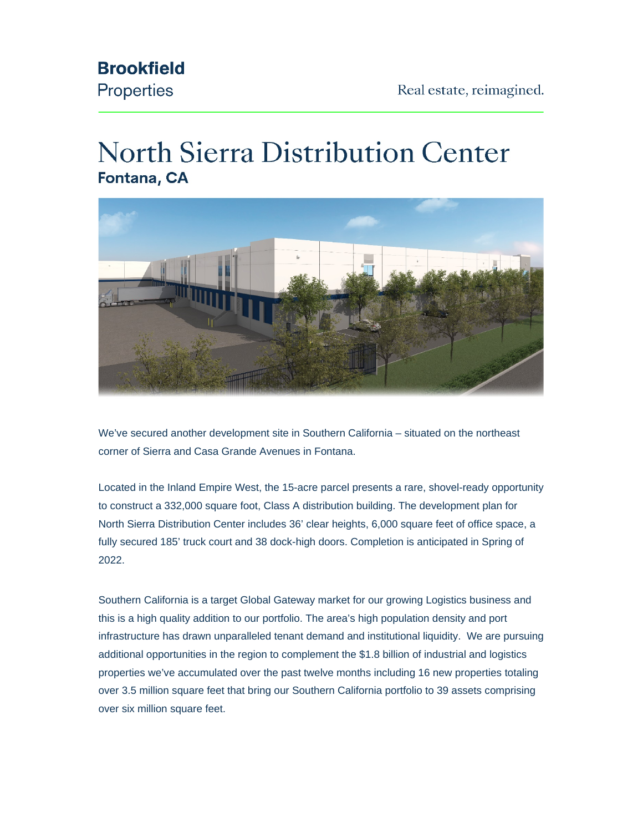## **Brookfield** Properties

## **North Sierra Distribution Center** Fontana, CA



We've secured another development site in Southern California – situated on the northeast corner of Sierra and Casa Grande Avenues in Fontana.

Located in the Inland Empire West, the 15-acre parcel presents a rare, shovel-ready opportunity to construct a 332,000 square foot, Class A distribution building. The development plan for North Sierra Distribution Center includes 36' clear heights, 6,000 square feet of office space, a fully secured 185' truck court and 38 dock-high doors. Completion is anticipated in Spring of 2022.

Southern California is a target Global Gateway market for our growing Logistics business and this is a high quality addition to our portfolio. The area's high population density and port infrastructure has drawn unparalleled tenant demand and institutional liquidity. We are pursuing additional opportunities in the region to complement the \$1.8 billion of industrial and logistics properties we've accumulated over the past twelve months including 16 new properties totaling over 3.5 million square feet that bring our Southern California portfolio to 39 assets comprising over six million square feet.